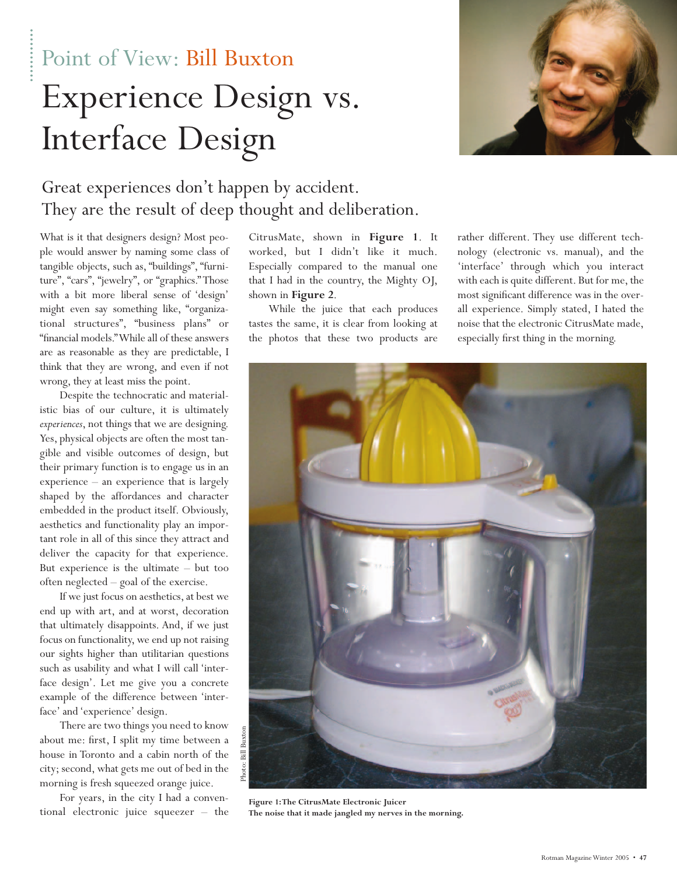Point of View: Bill Buxton Experience Design vs. Interface Design



## Great experiences don't happen by accident. They are the result of deep thought and deliberation.

What is it that designers design? Most people would answer by naming some class of tangible objects, such as, "buildings", "furniture", "cars", "jewelry", or "graphics." Those with a bit more liberal sense of 'design' might even say something like, "organizational structures", "business plans" or "financial models."While all of these answers are as reasonable as they are predictable, I think that they are wrong, and even if not wrong, they at least miss the point.

Despite the technocratic and materialistic bias of our culture, it is ultimately *experiences*, not things that we are designing. Yes, physical objects are often the most tangible and visible outcomes of design, but their primary function is to engage us in an experience – an experience that is largely shaped by the affordances and character embedded in the product itself. Obviously, aesthetics and functionality play an important role in all of this since they attract and deliver the capacity for that experience. But experience is the ultimate – but too often neglected – goal of the exercise.

If we just focus on aesthetics, at best we end up with art, and at worst, decoration that ultimately disappoints. And, if we just focus on functionality, we end up not raising our sights higher than utilitarian questions such as usability and what I will call 'interface design'. Let me give you a concrete example of the difference between 'interface' and 'experience' design.

There are two things you need to know about me: first, I split my time between a house in Toronto and a cabin north of the city; second, what gets me out of bed in the morning is fresh squeezed orange juice.

For years, in the city I had a conventional electronic juice squeezer – the CitrusMate, shown in **Figure 1**. It worked, but I didn't like it much. Especially compared to the manual one that I had in the country, the Mighty OJ, shown in **Figure 2**.

While the juice that each produces tastes the same, it is clear from looking at the photos that these two products are rather different. They use different technology (electronic vs. manual), and the 'interface' through which you interact with each is quite different. But for me, the most significant difference was in the overall experience. Simply stated, I hated the noise that the electronic CitrusMate made, especially first thing in the morning.



**Figure 1:The CitrusMate Electronic Juicer The noise that it made jangled my nerves in the morning.**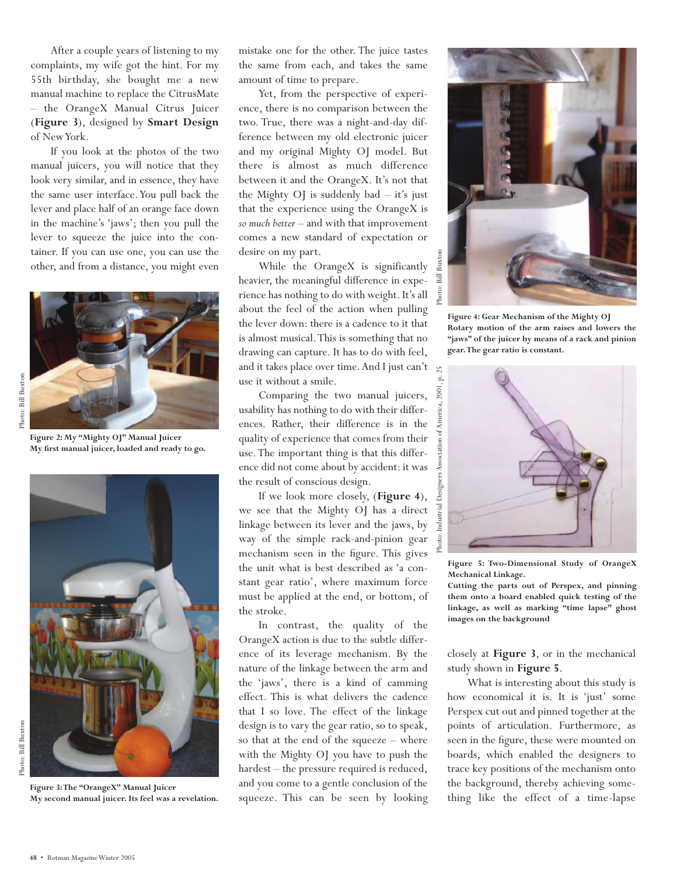After a couple years of listening to my complaints, my wife got the hint. For my 55th birthday, she bought me a new manual machine to replace the CitrusMate – the OrangeX Manual Citrus Juicer (**Figure 3**), designed by **Smart Design** of New York.

If you look at the photos of the two manual juicers, you will notice that they look very similar, and in essence, they have the same user interface. You pull back the lever and place half of an orange face down in the machine's 'jaws'; then you pull the lever to squeeze the juice into the container. If you can use one, you can use the other, and from a distance, you might even



Photo: Bill Buxton

Photo: Bill Buxton

**Figure 2: My "Mighty OJ" Manual Juicer My first manual juicer, loaded and ready to go.**



**My second manual juicer. Its feel was a revelation.**

mistake one for the other. The juice tastes the same from each, and takes the same amount of time to prepare.

Yet, from the perspective of experience, there is no comparison between the two. True, there was a night-and-day difference between my old electronic juicer and my original Mighty OJ model. But there is almost as much difference between it and the OrangeX. It's not that the Mighty OJ is suddenly  $bad - it's$  just that the experience using the OrangeX is *so much better* – and with that improvement comes a new standard of expectation or desire on my part.

While the OrangeX is significantly heavier, the meaningful difference in experience has nothing to do with weight. It's all about the feel of the action when pulling the lever down: there is a cadence to it that is almost musical.This is something that no drawing can capture. It has to do with feel, and it takes place over time. And I just can't  $\mathbb{R}$ use it without a smile.

Comparing the two manual juicers, usability has nothing to do with their differences. Rather, their difference is in the quality of experience that comes from their use. The important thing is that this difference did not come about by accident: it was the result of conscious design.

If we look more closely, (**Figure 4**), we see that the Mighty OJ has a direct linkage between its lever and the jaws, by way of the simple rack-and-pinion gear mechanism seen in the figure. This gives the unit what is best described as 'a constant gear ratio', where maximum force must be applied at the end, or bottom, of the stroke.

In contrast, the quality of the OrangeX action is due to the subtle difference of its leverage mechanism. By the nature of the linkage between the arm and the 'jaws', there is a kind of camming effect. This is what delivers the cadence that I so love. The effect of the linkage design is to vary the gear ratio, so to speak, so that at the end of the squeeze – where with the Mighty OJ you have to push the hardest – the pressure required is reduced, and you come to a gentle conclusion of the squeeze. This can be seen by looking



**Figure 4: Gear Mechanism of the Mighty OJ Rotary motion of the arm raises and lowers the "jaws" of the juicer by means of a rack and pinion gear. The gear ratio is constant.**



**Figure 5: Two-Dimensional Study of OrangeX Mechanical Linkage.**

**Cutting the parts out of Perspex, and pinning them onto a board enabled quick testing of the linkage, as well as marking "time lapse" ghost images on the background**

closely at **Figure 3**, or in the mechanical study shown in **Figure 5**.

What is interesting about this study is how economical it is. It is 'just' some Perspex cut out and pinned together at the points of articulation. Furthermore, as seen in the figure, these were mounted on boards, which enabled the designers to trace key positions of the mechanism onto the background, thereby achieving something like the effect of a time-lapse